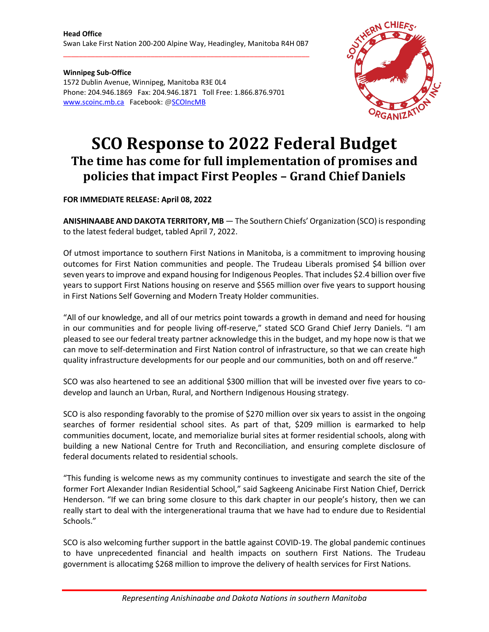\_\_\_\_\_\_\_\_\_\_\_\_\_\_\_\_\_\_\_\_\_\_\_\_\_\_\_\_\_\_\_\_\_\_\_\_\_\_\_\_\_\_\_\_\_\_\_\_\_\_\_\_\_\_\_\_\_\_\_\_\_\_

**Winnipeg Sub-Office** 1572 Dublin Avenue, Winnipeg, Manitoba R3E 0L4 Phone: 204.946.1869 Fax: 204.946.1871 Toll Free: 1.866.876.9701 [www.scoinc.mb.ca](http://www.scoinc.mb.ca/) Facebook: @SCOIncMB



## **SCO Response to 2022 Federal Budget The time has come for full implementation of promises and policies that impact First Peoples – Grand Chief Daniels**

**FOR IMMEDIATE RELEASE: April 08, 2022**

**ANISHINAABE AND DAKOTA TERRITORY, MB** — The Southern Chiefs' Organization (SCO) isresponding to the latest federal budget, tabled April 7, 2022.

Of utmost importance to southern First Nations in Manitoba, is a commitment to improving housing outcomes for First Nation communities and people. The Trudeau Liberals promised \$4 billion over seven years to improve and expand housing for Indigenous Peoples. That includes \$2.4 billion over five years to support First Nations housing on reserve and \$565 million over five years to support housing in First Nations Self Governing and Modern Treaty Holder communities.

"All of our knowledge, and all of our metrics point towards a growth in demand and need for housing in our communities and for people living off-reserve," stated SCO Grand Chief Jerry Daniels. "I am pleased to see our federal treaty partner acknowledge this in the budget, and my hope now is that we can move to self-determination and First Nation control of infrastructure, so that we can create high quality infrastructure developments for our people and our communities, both on and off reserve."

SCO was also heartened to see an additional \$300 million that will be invested over five years to codevelop and launch an Urban, Rural, and Northern Indigenous Housing strategy.

SCO is also responding favorably to the promise of \$270 million over six years to assist in the ongoing searches of former residential school sites. As part of that, \$209 million is earmarked to help communities document, locate, and memorialize burial sites at former residential schools, along with building a new National Centre for Truth and Reconciliation, and ensuring complete disclosure of federal documents related to residential schools.

"This funding is welcome news as my community continues to investigate and search the site of the former Fort Alexander Indian Residential School," said Sagkeeng Anicinabe First Nation Chief, Derrick Henderson. "If we can bring some closure to this dark chapter in our people's history, then we can really start to deal with the intergenerational trauma that we have had to endure due to Residential Schools."

SCO is also welcoming further support in the battle against COVID-19. The global pandemic continues to have unprecedented financial and health impacts on southern First Nations. The Trudeau government is allocatimg \$268 million to improve the delivery of health services for First Nations.